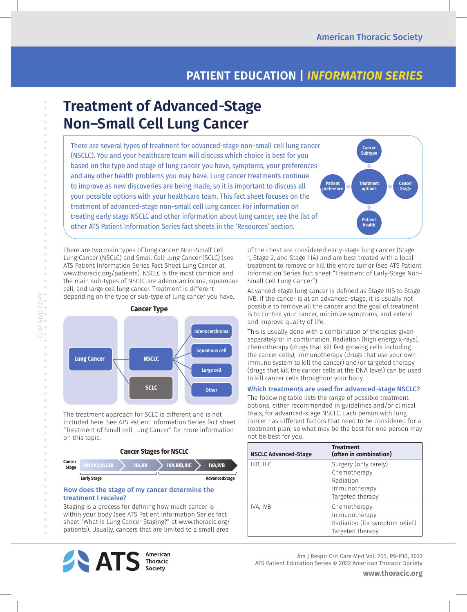## **PATIENT EDUCATION |** *INFORMATION SERIES*

# **Treatment of Advanced-Stage Non–Small Cell Lung Cancer**

There are several types of treatment for advanced-stage non–small cell lung cancer (NSCLC). You and your healthcare team will discuss which choice is best for you based on the type and stage of lung cancer you have, symptoms, your preferences and any other health problems you may have. Lung cancer treatments continue to improve as new discoveries are being made, so it is important to discuss all your possible options with your healthcare team. This fact sheet focuses on the treatment of advanced-stage non–small cell lung cancer. For information on treating early stage NSCLC and other information about lung cancer, see the list of other ATS Patient Information Series fact sheets in the 'Resources' section. **Cancer Subtype Treatment options Patient preference Cancer Stage Patien health**

There are two main types of lung cancer: Non–Small Cell Lung Cancer (NSCLC) and Small Cell Lung Cancer (SCLC) (see ATS Patient Information Series Fact Sheet Lung Cancer at www.thoracic.org/patients). NSCLC is the most common and the main sub-types of NSCLC are adenocarcinoma, squamous cell, and large cell lung cancer. Treatment is different depending on the type or sub-type of lung cancer you have.



CLIP AND COPY

CLIPAND COPY

 $\bar{\theta}$  $\bar{\phantom{a}}$  $\circ$  $\bar{\alpha}$  $\alpha$ 

 $\bar{\phantom{a}}$  $\circ$  $\begin{array}{c}\n0 \\
0\n\end{array}$ 

> The treatment approach for SCLC is different and is not included here. See ATS Patient Information Series fact sheet "Treatment of Small cell Lung Cancer" for more information on this topic.

> > **Cancer Stages for NSCLC**



#### How does the stage of my cancer determine the treatment I receive?

Staging is a process for defining how much cancer is within your body (see ATS Patient Information Series fact sheet "What is Lung Cancer Staging?" at www.thoracic.org/ patients). Usually, cancers that are limited to a small area



of the chest are considered early-stage lung cancer (Stage 1, Stage 2, and Stage IIIA) and are best treated with a local treatment to remove or kill the entire tumor (see ATS Patient Information Series fact sheet "Treatment of Early-Stage Non– Small Cell Lung Cancer").

Advanced-stage lung cancer is defined as Stage IIIB to Stage IVB. If the cancer is at an advanced-stage, it is usually not possible to remove all the cancer and the goal of treatment is to control your cancer, minimize symptoms, and extend and improve quality of life.

This is usually done with a combination of therapies given separately or in combination. Radiation (high energy x-rays), chemotherapy (drugs that kill fast growing cells including the cancer cells), immunotherapy (drugs that use your own immune system to kill the cancer) and/or targeted therapy (drugs that kill the cancer cells at the DNA level) can be used to kill cancer cells throughout your body.

#### Which treatments are used for advanced-stage NSCLC?

The following table lists the range of possible treatment options, either recommended in guidelines and/or clinical trials, for advanced-stage NSCLC. Each person with lung cancer has different factors that need to be considered for a treatment plan, so what may be the best for one person may not be best for you.

| <b>NSCLC Advanced-Stage</b> | <b>Treatment</b><br>(often in combination)                                              |
|-----------------------------|-----------------------------------------------------------------------------------------|
| IIIB, IIIC                  | Surgery (only rarely)<br>Chemotherapy<br>Radiation<br>Immunotherapy<br>Targeted therapy |
| IVA, IVB                    | Chemotherapy<br>Immunotherapy<br>Radiation (for symptom relief)<br>Targeted therapy     |

Am J Respir Crit Care Med Vol. 205, P9-P10, 2022 ATS Patient Education Series © 2022 American Thoracic Society